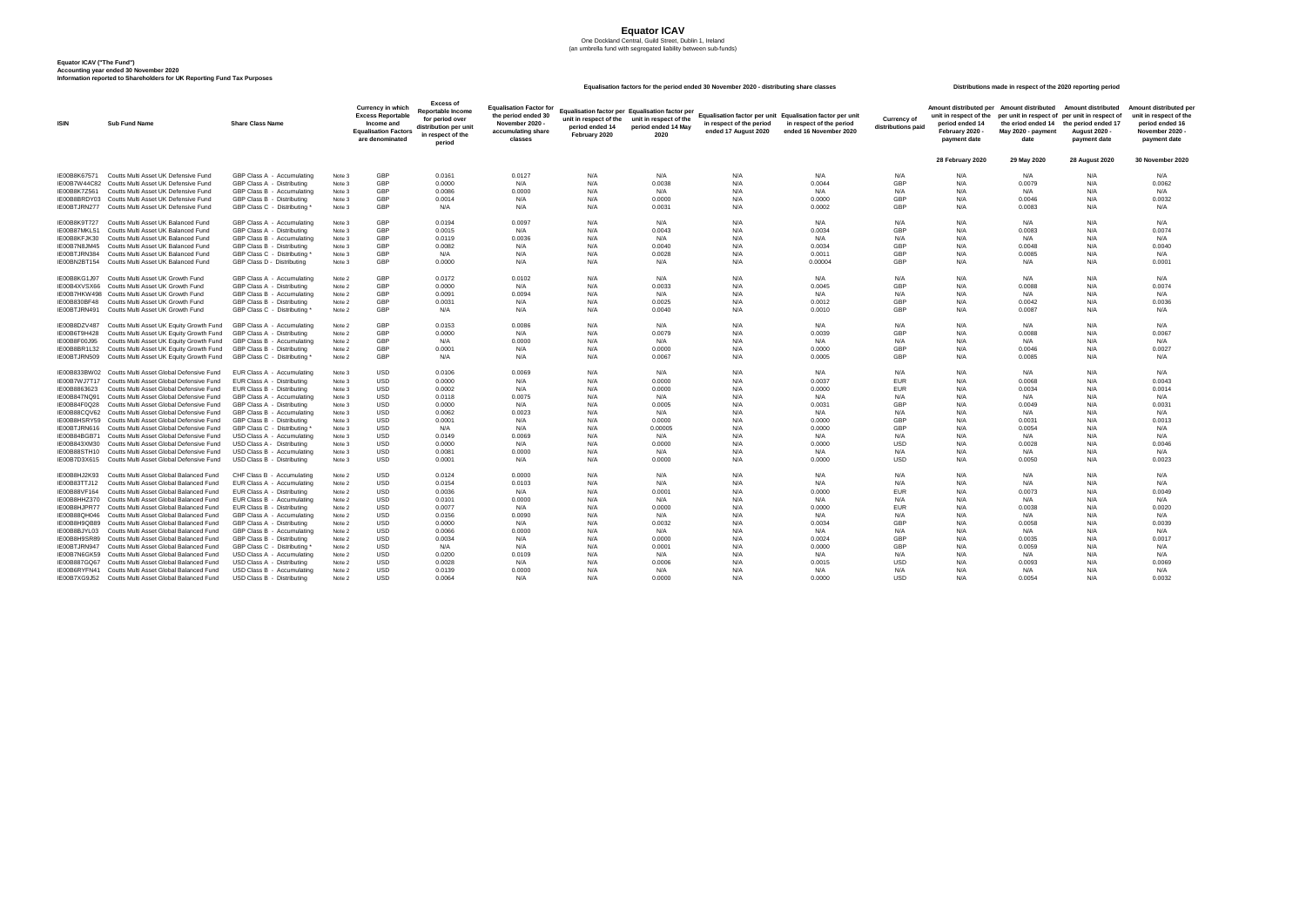# **Equator ICAV**

One Dockland Central, Guild Street, Dublin 1, Ireland (an umbrella fund with segregated liability between sub-funds)

| ount distributed per<br>nit in respect of the<br>period ended 14<br>February 2020 -<br>payment date | <b>Amount distributed</b><br>per unit in respect of<br>the eriod ended 14<br>May 2020 - payment<br>date | <b>Amount distributed</b><br>per unit in respect of<br>the period ended 17<br><b>August 2020 -</b><br>payment date | Amount distributed per<br>unit in respect of the<br>period ended 16<br>November 2020 -<br>payment date |  |  |  |  |  |
|-----------------------------------------------------------------------------------------------------|---------------------------------------------------------------------------------------------------------|--------------------------------------------------------------------------------------------------------------------|--------------------------------------------------------------------------------------------------------|--|--|--|--|--|
| 28 February 2020                                                                                    | 29 May 2020                                                                                             | <b>28 August 2020</b>                                                                                              | <b>30 November 2020</b>                                                                                |  |  |  |  |  |
| N/A                                                                                                 | N/A                                                                                                     | N/A                                                                                                                | N/A                                                                                                    |  |  |  |  |  |
| N/A                                                                                                 | 0.0079                                                                                                  | N/A                                                                                                                | 0.0062                                                                                                 |  |  |  |  |  |
| N/A                                                                                                 | N/A                                                                                                     | N/A                                                                                                                | N/A                                                                                                    |  |  |  |  |  |
| N/A                                                                                                 | 0.0046                                                                                                  | N/A                                                                                                                | 0.0032                                                                                                 |  |  |  |  |  |
| N/A                                                                                                 | 0.0083                                                                                                  | N/A                                                                                                                | N/A                                                                                                    |  |  |  |  |  |
|                                                                                                     |                                                                                                         |                                                                                                                    |                                                                                                        |  |  |  |  |  |
| N/A                                                                                                 | N/A                                                                                                     | N/A                                                                                                                | N/A                                                                                                    |  |  |  |  |  |
| N/A                                                                                                 | 0.0083                                                                                                  | N/A                                                                                                                | 0.0074                                                                                                 |  |  |  |  |  |
| N/A                                                                                                 | N/A                                                                                                     | N/A                                                                                                                | N/A                                                                                                    |  |  |  |  |  |
| N/A                                                                                                 | 0.0048                                                                                                  | N/A                                                                                                                | 0.0040                                                                                                 |  |  |  |  |  |
| N/A                                                                                                 | 0.0085                                                                                                  | N/A                                                                                                                | N/A                                                                                                    |  |  |  |  |  |
| N/A                                                                                                 | N/A                                                                                                     | N/A                                                                                                                | 0.0001                                                                                                 |  |  |  |  |  |
|                                                                                                     |                                                                                                         |                                                                                                                    |                                                                                                        |  |  |  |  |  |
| N/A                                                                                                 | N/A                                                                                                     | N/A                                                                                                                | N/A                                                                                                    |  |  |  |  |  |
| N/A                                                                                                 | 0.0088                                                                                                  | N/A                                                                                                                | 0.0074                                                                                                 |  |  |  |  |  |
| N/A                                                                                                 | N/A                                                                                                     | N/A                                                                                                                | N/A                                                                                                    |  |  |  |  |  |
| N/A                                                                                                 | 0.0042                                                                                                  | N/A                                                                                                                | 0.0036                                                                                                 |  |  |  |  |  |
| N/A                                                                                                 | 0.0087                                                                                                  | N/A                                                                                                                | N/A                                                                                                    |  |  |  |  |  |
| N/A                                                                                                 | N/A                                                                                                     | N/A                                                                                                                | N/A                                                                                                    |  |  |  |  |  |
| N/A                                                                                                 | 0.0088                                                                                                  | N/A                                                                                                                | 0.0067                                                                                                 |  |  |  |  |  |
| N/A                                                                                                 | N/A                                                                                                     | N/A                                                                                                                | N/A                                                                                                    |  |  |  |  |  |
| N/A                                                                                                 | 0.0046                                                                                                  | N/A                                                                                                                | 0.0027                                                                                                 |  |  |  |  |  |
| N/A                                                                                                 | 0.0085                                                                                                  | N/A                                                                                                                | N/A                                                                                                    |  |  |  |  |  |
| N/A                                                                                                 | N/A                                                                                                     | N/A                                                                                                                | N/A                                                                                                    |  |  |  |  |  |
| N/A                                                                                                 | 0.0068                                                                                                  | N/A                                                                                                                | 0.0043                                                                                                 |  |  |  |  |  |
| N/A                                                                                                 | 0.0034                                                                                                  | N/A                                                                                                                | 0.0014                                                                                                 |  |  |  |  |  |
| N/A                                                                                                 | N/A                                                                                                     | N/A                                                                                                                | N/A                                                                                                    |  |  |  |  |  |
| N/A                                                                                                 |                                                                                                         | N/A                                                                                                                |                                                                                                        |  |  |  |  |  |
|                                                                                                     | 0.0049                                                                                                  |                                                                                                                    | 0.0031                                                                                                 |  |  |  |  |  |
| N/A                                                                                                 | N/A                                                                                                     | N/A                                                                                                                | N/A                                                                                                    |  |  |  |  |  |
| N/A                                                                                                 | 0.0031                                                                                                  | N/A                                                                                                                | 0.0013                                                                                                 |  |  |  |  |  |
| N/A                                                                                                 | 0.0054                                                                                                  | N/A                                                                                                                | N/A                                                                                                    |  |  |  |  |  |
| N/A                                                                                                 | N/A                                                                                                     | N/A                                                                                                                | N/A                                                                                                    |  |  |  |  |  |
| N/A                                                                                                 | 0.0028                                                                                                  | N/A                                                                                                                | 0.0046                                                                                                 |  |  |  |  |  |
| N/A                                                                                                 | N/A                                                                                                     | N/A                                                                                                                | N/A                                                                                                    |  |  |  |  |  |
| N/A                                                                                                 | 0.0050                                                                                                  | N/A                                                                                                                | 0.0023                                                                                                 |  |  |  |  |  |
| N/A                                                                                                 | N/A                                                                                                     | N/A                                                                                                                | N/A                                                                                                    |  |  |  |  |  |
| N/A                                                                                                 | N/A                                                                                                     | N/A                                                                                                                | N/A                                                                                                    |  |  |  |  |  |
| N/A                                                                                                 | 0.0073                                                                                                  | N/A                                                                                                                | 0.0049                                                                                                 |  |  |  |  |  |
| N/A                                                                                                 | N/A                                                                                                     | N/A                                                                                                                | N/A                                                                                                    |  |  |  |  |  |
| N/A                                                                                                 | 0.0038                                                                                                  | N/A                                                                                                                | 0.0020                                                                                                 |  |  |  |  |  |
| N/A                                                                                                 | N/A                                                                                                     | N/A                                                                                                                | N/A                                                                                                    |  |  |  |  |  |
| N/A                                                                                                 | 0.0058                                                                                                  | N/A                                                                                                                | 0.0039                                                                                                 |  |  |  |  |  |
| N/A                                                                                                 | N/A                                                                                                     | N/A                                                                                                                | N/A                                                                                                    |  |  |  |  |  |
| N/A                                                                                                 | 0.0035                                                                                                  | N/A                                                                                                                | 0.0017                                                                                                 |  |  |  |  |  |
| N/A                                                                                                 | 0.0059                                                                                                  | N/A                                                                                                                | N/A                                                                                                    |  |  |  |  |  |
| N/A                                                                                                 | N/A                                                                                                     | N/A                                                                                                                | N/A                                                                                                    |  |  |  |  |  |
| N/A                                                                                                 | 0.0093                                                                                                  | N/A                                                                                                                | 0.0069                                                                                                 |  |  |  |  |  |
| N/A                                                                                                 | N/A                                                                                                     | N/A                                                                                                                | N/A                                                                                                    |  |  |  |  |  |
| N/A                                                                                                 |                                                                                                         | N/A                                                                                                                |                                                                                                        |  |  |  |  |  |
|                                                                                                     | 0.0054                                                                                                  |                                                                                                                    | 0.0032                                                                                                 |  |  |  |  |  |

| <b>ISIN</b>                  | <b>Sub Fund Name</b>                                                                              | <b>Share Class Name</b>                                  |                   | <b>Currency in which</b><br><b>Excess Reportable</b><br>Income and<br><b>Equalisation Factors</b><br>are denominated | <b>Excess of</b><br><b>Reportable Income</b><br>for period over<br>distribution per unit<br>in respect of the<br>period | <b>Equalisation Factor for</b><br>the period ended 30<br>November 2020<br>accumulating share<br>classes | unit in respect of the<br>period ended 14<br>February 2020 | Equalisation factor per Equalisation factor per<br>unit in respect of the<br>period ended 14 May<br>2020 | Equalisation factor per unit Equalisation factor per unit<br>in respect of the period<br>ended 17 August 2020 | in respect of the period<br>ended 16 November 2020 | <b>Currency of</b><br>distributions paid | unit in respect of the<br>period ended 14<br>February 2020 -<br>payment date | Amount distributed per Amount distributed<br>the eriod ended 14 the period ended 17<br>May 2020 - payment<br>date | <b>Amount distributed</b><br>per unit in respect of per unit in respect of<br>August 2020<br>payment date | <b>Amount distrib</b><br>unit in resped<br>period end<br>November 2<br>payment |
|------------------------------|---------------------------------------------------------------------------------------------------|----------------------------------------------------------|-------------------|----------------------------------------------------------------------------------------------------------------------|-------------------------------------------------------------------------------------------------------------------------|---------------------------------------------------------------------------------------------------------|------------------------------------------------------------|----------------------------------------------------------------------------------------------------------|---------------------------------------------------------------------------------------------------------------|----------------------------------------------------|------------------------------------------|------------------------------------------------------------------------------|-------------------------------------------------------------------------------------------------------------------|-----------------------------------------------------------------------------------------------------------|--------------------------------------------------------------------------------|
|                              |                                                                                                   |                                                          |                   |                                                                                                                      |                                                                                                                         |                                                                                                         |                                                            |                                                                                                          |                                                                                                               |                                                    |                                          | 28 February 2020                                                             | 29 May 2020                                                                                                       | <b>28 August 2020</b>                                                                                     | 30 Novembe                                                                     |
| IE00B8K67571                 | Coutts Multi Asset UK Defensive Fund                                                              | GBP Class A - Accumulating                               | Note 3            | GBP                                                                                                                  | 0.0161                                                                                                                  | 0.0127                                                                                                  | N/A                                                        | N/A                                                                                                      | N/A                                                                                                           | N/A                                                | N/A                                      | N/A                                                                          | N/A                                                                                                               | N/A                                                                                                       | N/A                                                                            |
| IE00B7W44C82                 | Coutts Multi Asset UK Defensive Fund                                                              | GBP Class A - Distributing                               | Note 3            | <b>GBP</b>                                                                                                           | 0.0000                                                                                                                  | N/A                                                                                                     | N/A                                                        | 0.0038                                                                                                   | N/A                                                                                                           | 0.0044                                             | <b>GBP</b>                               | N/A                                                                          | 0.0079                                                                                                            | N/A                                                                                                       | 0.0062                                                                         |
| IE00B8K7Z561                 | Coutts Multi Asset UK Defensive Fund                                                              | GBP Class B - Accumulating                               | Note 3            | <b>GBP</b>                                                                                                           | 0.0086                                                                                                                  | 0.0000                                                                                                  | N/A                                                        | N/A                                                                                                      | N/A                                                                                                           | N/A                                                | N/A                                      | N/A                                                                          | N/A                                                                                                               | N/A                                                                                                       | N/A                                                                            |
| IE00B8BRDY03                 | Coutts Multi Asset UK Defensive Fund                                                              | GBP Class B - Distributing                               | Note <sub>3</sub> | <b>GBP</b>                                                                                                           | 0.0014                                                                                                                  | N/A                                                                                                     | N/A                                                        | 0.0000                                                                                                   | N/A                                                                                                           | 0.0000                                             | <b>GBP</b>                               | N/A                                                                          | 0.0046                                                                                                            | N/A                                                                                                       | 0.0032                                                                         |
| IE00BTJRN277                 | Coutts Multi Asset UK Defensive Fund                                                              | GBP Class C - Distributing                               | Note 3            | <b>GBP</b>                                                                                                           | N/A                                                                                                                     | N/A                                                                                                     | N/A                                                        | 0.0031                                                                                                   | N/A                                                                                                           | 0.0002                                             | <b>GBP</b>                               | N/A                                                                          | 0.0083                                                                                                            | N/A                                                                                                       | N/A                                                                            |
| IE00B8K9T727                 | Coutts Multi Asset UK Balanced Fund                                                               | GBP Class A - Accumulating                               | Note 3            | <b>GBP</b>                                                                                                           | 0.0194                                                                                                                  | 0.0097                                                                                                  | N/A                                                        | N/A                                                                                                      | N/A                                                                                                           | N/A                                                | N/A                                      | N/A                                                                          | N/A                                                                                                               | N/A                                                                                                       | N/A                                                                            |
| IE00B87MKL51                 | Coutts Multi Asset UK Balanced Fund                                                               | GBP Class A - Distributing                               | Note 3            | <b>GBP</b>                                                                                                           | 0.0015                                                                                                                  | N/A                                                                                                     | N/A                                                        | 0.0043                                                                                                   | N/A                                                                                                           | 0.0034                                             | <b>GBP</b>                               | N/A                                                                          | 0.0083                                                                                                            | N/A                                                                                                       | 0.0074                                                                         |
| IE00B8KFJK30                 | Coutts Multi Asset UK Balanced Fund                                                               | GBP Class B - Accumulating                               | Note 3            | <b>GBP</b>                                                                                                           | 0.0119                                                                                                                  | 0.0036                                                                                                  | N/A                                                        | N/A                                                                                                      | N/A                                                                                                           | N/A                                                | N/A                                      | N/A                                                                          | N/A                                                                                                               | N/A                                                                                                       | N/A                                                                            |
| IE00B7N8JM45                 | Coutts Multi Asset UK Balanced Fund                                                               | GBP Class B - Distributing                               | Note 3            | <b>GBP</b>                                                                                                           | 0.0082                                                                                                                  | N/A                                                                                                     | N/A                                                        | 0.0040                                                                                                   | N/A                                                                                                           | 0.0034                                             | <b>GBP</b>                               | N/A                                                                          | 0.0048                                                                                                            | N/A                                                                                                       | 0.0040                                                                         |
| IE00BTJRN384                 | <b>Coutts Multi Asset UK Balanced Fund</b>                                                        | GBP Class C - Distributing                               | Note 3            | <b>GBP</b><br><b>GBP</b>                                                                                             | N/A                                                                                                                     | N/A                                                                                                     | N/A                                                        | 0.0028                                                                                                   | N/A                                                                                                           | 0.0011                                             | <b>GBP</b>                               | N/A                                                                          | 0.0085                                                                                                            | N/A                                                                                                       | N/A                                                                            |
| IE00BN2BT154                 | <b>Coutts Multi Asset UK Balanced Fund</b>                                                        | GBP Class D - Distributing                               | Note 3            |                                                                                                                      | 0.0000                                                                                                                  | N/A                                                                                                     | N/A                                                        | N/A                                                                                                      | N/A                                                                                                           | 0.00004                                            | <b>GBP</b>                               | N/A                                                                          | N/A                                                                                                               | N/A                                                                                                       | 0.0001                                                                         |
| IE00B8KG1J97                 | Coutts Multi Asset UK Growth Fund                                                                 | GBP Class A - Accumulating                               | Note 2            | <b>GBP</b>                                                                                                           | 0.0172                                                                                                                  | 0.0102                                                                                                  | N/A                                                        | N/A                                                                                                      | N/A                                                                                                           | N/A                                                | N/A                                      | N/A                                                                          | N/A                                                                                                               | N/A                                                                                                       | N/A                                                                            |
| IE00B4XVSX66                 | Coutts Multi Asset UK Growth Fund                                                                 | GBP Class A - Distributing                               | Note 2            | <b>GBP</b>                                                                                                           | 0.0000                                                                                                                  | N/A                                                                                                     | N/A                                                        | 0.0033                                                                                                   | N/A                                                                                                           | 0.0045                                             | <b>GBP</b>                               | N/A                                                                          | 0.0088                                                                                                            | N/A                                                                                                       | 0.0074                                                                         |
| IE00B7HKW498                 | Coutts Multi Asset UK Growth Fund                                                                 | GBP Class B - Accumulating                               | Note 2            | <b>GBP</b>                                                                                                           | 0.0091                                                                                                                  | 0.0094                                                                                                  | N/A                                                        | N/A                                                                                                      | N/A                                                                                                           | N/A                                                | N/A                                      | N/A                                                                          | N/A                                                                                                               | N/A                                                                                                       | N/A                                                                            |
| IE00B830BF48                 | <b>Coutts Multi Asset UK Growth Fund</b>                                                          | GBP Class B - Distributing                               | Note 2            | <b>GBP</b><br><b>GBP</b>                                                                                             | 0.0031                                                                                                                  | N/A                                                                                                     | N/A                                                        | 0.0025                                                                                                   | N/A                                                                                                           | 0.0012                                             | <b>GBP</b>                               | N/A                                                                          | 0.0042                                                                                                            | N/A                                                                                                       | 0.0036                                                                         |
| IE00BTJRN491                 | Coutts Multi Asset UK Growth Fund                                                                 | GBP Class C - Distributing                               | Note 2            |                                                                                                                      | N/A                                                                                                                     | N/A                                                                                                     | N/A                                                        | 0.0040                                                                                                   | N/A                                                                                                           | 0.0010                                             | <b>GBP</b>                               | N/A                                                                          | 0.0087                                                                                                            | N/A                                                                                                       | N/A                                                                            |
| IE00B8DZV487                 | Coutts Multi Asset UK Equity Growth Fund                                                          | GBP Class A - Accumulating                               | Note 2            | <b>GBP</b>                                                                                                           | 0.0153                                                                                                                  | 0.0086                                                                                                  | N/A                                                        | N/A                                                                                                      | N/A                                                                                                           | N/A                                                | N/A                                      | N/A                                                                          | N/A                                                                                                               | N/A                                                                                                       | N/A                                                                            |
| IE00B6T9H428                 | Coutts Multi Asset UK Equity Growth Fund                                                          | GBP Class A - Distributing                               | Note 2            | <b>GBP</b>                                                                                                           | 0.0000                                                                                                                  | N/A                                                                                                     | N/A                                                        | 0.0079                                                                                                   | N/A                                                                                                           | 0.0039                                             | <b>GBP</b>                               | N/A                                                                          | 0.0088                                                                                                            | N/A                                                                                                       | 0.0067                                                                         |
| IE00B8F00J95                 | Coutts Multi Asset UK Equity Growth Fund                                                          | GBP Class B - Accumulating                               | Note 2            | <b>GBP</b>                                                                                                           | N/A                                                                                                                     | 0.0000<br>$\cdots$                                                                                      | N/A<br>$\mathbf{r}$ . $\mathbf{r}$                         | N/A                                                                                                      | N/A                                                                                                           | N/A                                                | N/A                                      | N/A                                                                          | N/A                                                                                                               | N/A                                                                                                       | N/A                                                                            |
|                              | IE00B8BR1L32 Coutts Multi Asset UK Equity Growth Fund GBP Class B - Distributing                  |                                                          | Note 2            | <b>GBP</b>                                                                                                           | 0.0001                                                                                                                  |                                                                                                         | N/A                                                        | 0.0000                                                                                                   | N/A                                                                                                           | 0.0000                                             | <b>GBP</b>                               | N/A                                                                          | 0.0046                                                                                                            | N/A                                                                                                       | 0.0027                                                                         |
|                              | IE00BTJRN509 Coutts Multi Asset UK Equity Growth Fund GBP Class C - Distributing *                |                                                          | Note 2            | <b>GBP</b>                                                                                                           | N/A                                                                                                                     | N/A                                                                                                     | N/A                                                        | 0.0067                                                                                                   | N/A                                                                                                           | 0.0005                                             | <b>GBP</b>                               | N/A                                                                          | 0.0085                                                                                                            | N/A                                                                                                       | N/A                                                                            |
|                              | IE00B833BW02 Coutts Multi Asset Global Defensive Fund                                             | EUR Class A - Accumulating                               | Note 3            | USD                                                                                                                  | 0.0106                                                                                                                  | 0.0069                                                                                                  | N/A                                                        | N/A                                                                                                      | N/A                                                                                                           | N/A                                                | N/A                                      | N/A                                                                          | N/A                                                                                                               | N/A                                                                                                       | N/A                                                                            |
| IE00B7WJ7T17                 | Coutts Multi Asset Global Defensive Fund                                                          | EUR Class A - Distributing                               | Note 3            | <b>USD</b>                                                                                                           | 0.0000                                                                                                                  | N/A                                                                                                     | N/A                                                        | 0.0000                                                                                                   | N/A                                                                                                           | 0.0037                                             | EUR                                      | N/A                                                                          | 0.0068                                                                                                            | N/A                                                                                                       | 0.0043                                                                         |
| IE00B8863623                 | Coutts Multi Asset Global Defensive Fund                                                          | EUR Class B - Distributing                               | Note 3            | <b>USD</b>                                                                                                           | 0.0002                                                                                                                  | N/A                                                                                                     |                                                            | 0.0000                                                                                                   | N/A                                                                                                           | 0.0000                                             | EUR                                      | N/A                                                                          | 0.0034                                                                                                            | N/A                                                                                                       | 0.0014                                                                         |
| IE00B847NQ91                 | Coutts Multi Asset Global Defensive Fund                                                          | GBP Class A - Accumulating                               | Note 3            | <b>USD</b>                                                                                                           | 0.0118                                                                                                                  | 0.0075                                                                                                  |                                                            | N/A                                                                                                      | N/A                                                                                                           | N/A                                                | N/A                                      | N/A                                                                          | N/A                                                                                                               | N/A                                                                                                       | N/A                                                                            |
| IE00B84F0Q28                 | Coutts Multi Asset Global Defensive Fund                                                          | GBP Class A - Distributing                               | Note 3            | <b>USD</b>                                                                                                           | 0.0000                                                                                                                  | N/A                                                                                                     | N/A                                                        | 0.0005                                                                                                   | N/A                                                                                                           | 0.0031                                             | GBP                                      | N/A                                                                          | 0.0049                                                                                                            | N/A                                                                                                       | 0.0031                                                                         |
| IE00B88CQV62                 | Coutts Multi Asset Global Defensive Fund<br>IE00B8HSRY59 Coutts Multi Asset Global Defensive Fund | GBP Class B - Accumulating<br>GBP Class B - Distributing | Note 3<br>Note 3  | <b>USD</b><br><b>USD</b>                                                                                             | 0.0062<br>0.0001                                                                                                        | 0.0023<br>N/A                                                                                           | N/A<br>N/A                                                 | N/A<br>0.0000                                                                                            | N/A<br>N/A                                                                                                    | N/A<br>0.0000                                      | N/A<br><b>GBP</b>                        | N/A<br>N/A                                                                   | N/A<br>0.0031                                                                                                     | N/A<br>N/A                                                                                                | N/A<br>0.0013                                                                  |
| IE00BTJRN616                 | Coutts Multi Asset Global Defensive Fund                                                          | GBP Class C - Distributing                               | Note 3            | <b>USD</b>                                                                                                           | N/A                                                                                                                     | N/A                                                                                                     |                                                            | 0.00005                                                                                                  | N/A                                                                                                           | 0.0000                                             | GBP                                      |                                                                              | 0.0054                                                                                                            | N/A                                                                                                       | N/A                                                                            |
| IE00B84BGB71                 | Coutts Multi Asset Global Defensive Fund                                                          | USD Class A - Accumulating                               | Note 3            | <b>USD</b>                                                                                                           | 0.0149                                                                                                                  | 0.0069                                                                                                  | N/A                                                        | N/A                                                                                                      | N/A                                                                                                           | N/A                                                | N/A                                      | N/A                                                                          | N/A                                                                                                               | N/A                                                                                                       | N/A                                                                            |
| IE00B843XM30                 | Coutts Multi Asset Global Defensive Fund                                                          | USD Class A - Distributing                               | Note 3            | <b>USD</b>                                                                                                           | 0.0000                                                                                                                  | N/A                                                                                                     | N/A                                                        | 0.0000                                                                                                   | N/A                                                                                                           | 0.0000                                             | USD                                      | N/A                                                                          | 0.0028                                                                                                            | N/A                                                                                                       | 0.0046                                                                         |
| IE00B88STH10                 | Coutts Multi Asset Global Defensive Fund                                                          | USD Class B - Accumulating                               | Note 3            | <b>USD</b>                                                                                                           | 0.0081                                                                                                                  | 0.0000                                                                                                  | N/A                                                        | N/A                                                                                                      | N/A                                                                                                           | N/A                                                | N/A                                      | N/A                                                                          | N/A                                                                                                               | N/A                                                                                                       | N/A                                                                            |
| IE00B7D3X615                 | Coutts Multi Asset Global Defensive Fund                                                          | USD Class B - Distributing                               | Note 3            | <b>USD</b>                                                                                                           | 0.0001                                                                                                                  | N/A                                                                                                     | N/A                                                        | 0.0000                                                                                                   | N/A                                                                                                           | 0.0000                                             | USD                                      | N/A                                                                          | 0.0050                                                                                                            | N/A                                                                                                       | 0.0023                                                                         |
| IE00B8HJ2K93                 | <b>Coutts Multi Asset Global Balanced Fund</b>                                                    | CHF Class B - Accumulating                               | Note 2            | <b>USD</b>                                                                                                           | 0.0124                                                                                                                  | 0.0000                                                                                                  | N/A                                                        | N/A                                                                                                      | N/A                                                                                                           | N/A                                                | N/A                                      | N/A                                                                          | N/A                                                                                                               | N/A                                                                                                       | N/A                                                                            |
| IE00B83TTJ12                 | Coutts Multi Asset Global Balanced Fund                                                           | EUR Class A - Accumulating                               | Note 2            | <b>USD</b>                                                                                                           | 0.0154                                                                                                                  | 0.0103                                                                                                  | N/A                                                        | N/A                                                                                                      | N/A                                                                                                           | N/A                                                | N/A                                      | N/A                                                                          | N/A                                                                                                               | N/A                                                                                                       | N/A                                                                            |
| IE00B88VF164                 | <b>Coutts Multi Asset Global Balanced Fund</b>                                                    | EUR Class A - Distributing                               | Note 2            | <b>USD</b>                                                                                                           | 0.0036                                                                                                                  | N/A                                                                                                     | N/A                                                        | 0.0001                                                                                                   | N/A                                                                                                           | 0.0000                                             | EUR                                      | N/A                                                                          | 0.0073                                                                                                            | N/A                                                                                                       | 0.0049                                                                         |
| IE00B8HHZ370                 | <b>Coutts Multi Asset Global Balanced Fund</b>                                                    | EUR Class B - Accumulating                               | Note 2            | <b>USD</b>                                                                                                           | 0.0101                                                                                                                  | 0.0000                                                                                                  | N/A                                                        | N/A                                                                                                      | N/A                                                                                                           | N/A                                                | N/A                                      | N/A                                                                          | N/A                                                                                                               | N/A                                                                                                       | N/A                                                                            |
| IE00B8HJPR77                 | <b>Coutts Multi Asset Global Balanced Fund</b>                                                    | EUR Class B - Distributing                               | Note 2            | <b>USD</b>                                                                                                           | 0.0077                                                                                                                  | N/A                                                                                                     | N/A                                                        | 0.0000                                                                                                   | N/A                                                                                                           | 0.0000                                             | EUR                                      | N/A                                                                          | 0.0038                                                                                                            | N/A                                                                                                       | 0.0020                                                                         |
| IE00B88QH046                 | <b>Coutts Multi Asset Global Balanced Fund</b>                                                    | GBP Class A - Accumulating                               | Note 2            | <b>USD</b>                                                                                                           | 0.0156                                                                                                                  | 0.0090                                                                                                  |                                                            | N/A                                                                                                      | N/A                                                                                                           | N/A                                                | N/A                                      | N/A                                                                          | N/A                                                                                                               | N/A                                                                                                       | N/A                                                                            |
| IE00B8H9QB89                 | <b>Coutts Multi Asset Global Balanced Fund</b>                                                    | GBP Class A - Distributing                               | Note 2            | <b>USD</b>                                                                                                           | 0.0000                                                                                                                  | N/A                                                                                                     | N/A                                                        | 0.0032                                                                                                   | N/A                                                                                                           | 0.0034                                             | GBP                                      | N/A                                                                          | 0.0058                                                                                                            | N/A                                                                                                       | 0.0039                                                                         |
| IE00B8BJYL03                 | <b>Coutts Multi Asset Global Balanced Fund</b>                                                    | GBP Class B - Accumulating                               | Note 2            | <b>USD</b>                                                                                                           | 0.0066                                                                                                                  | 0.0000                                                                                                  | N/A                                                        | N/A                                                                                                      | N/A                                                                                                           | N/A                                                |                                          | N/A                                                                          | N/A                                                                                                               | N/A                                                                                                       | N/A                                                                            |
| IE00B8H9SR89                 | <b>Coutts Multi Asset Global Balanced Fund</b>                                                    | GBP Class B - Distributing                               | Note 2            | <b>USD</b>                                                                                                           | 0.0034                                                                                                                  | N/A                                                                                                     | N/A                                                        | 0.0000                                                                                                   | N/A                                                                                                           | 0.0024                                             | GBP                                      | N/A                                                                          | 0.0035                                                                                                            | N/A                                                                                                       | 0.0017                                                                         |
| IE00BTJRN947                 | <b>Coutts Multi Asset Global Balanced Fund</b>                                                    | GBP Class C - Distributing                               | Note 2            | <b>USD</b>                                                                                                           | N/A                                                                                                                     | N/A                                                                                                     |                                                            | 0.0001                                                                                                   | N/A                                                                                                           | 0.0000                                             | GBP                                      | N/A                                                                          | 0.0059                                                                                                            | N/A                                                                                                       | N/A                                                                            |
| IE00B7N6GK59<br>IE00B887GQ67 | <b>Coutts Multi Asset Global Balanced Fund</b><br>Coutts Multi Asset Global Balanced Fund         | USD Class A - Accumulating<br>USD Class A - Distributing | Note 2<br>Note 2  | <b>USD</b><br><b>USD</b>                                                                                             | 0.0200<br>0.0028                                                                                                        | 0.0109<br>N/A                                                                                           | N/A<br>N/A                                                 | N/A<br>0.0006                                                                                            | N/A<br>N/A                                                                                                    | N/A<br>0.0015                                      | N/A<br><b>USD</b>                        | N/A<br>N/A                                                                   | N/A<br>0.0093                                                                                                     | N/A<br>N/A                                                                                                | N/A<br>0.0069                                                                  |
| IE00B6RYFN41                 | <b>Coutts Multi Asset Global Balanced Fund</b>                                                    | USD Class B - Accumulating                               | Note 2            | <b>USD</b>                                                                                                           | 0.0139                                                                                                                  | 0.0000                                                                                                  | N/A                                                        | N/A                                                                                                      | N/A                                                                                                           | N/A                                                | N/A                                      | N/A                                                                          | N/A                                                                                                               | N/A                                                                                                       | N/A                                                                            |
| IE00B7XG9J52                 | <b>Coutts Multi Asset Global Balanced Fund</b>                                                    | USD Class B - Distributing                               | Note 2            | <b>USD</b>                                                                                                           | 0.0064                                                                                                                  | N/A                                                                                                     | N/A                                                        | 0.0000                                                                                                   | N/A                                                                                                           | 0.0000                                             | USD                                      | N/A                                                                          | 0.0054                                                                                                            | N/A                                                                                                       | 0.0032                                                                         |
|                              |                                                                                                   |                                                          |                   |                                                                                                                      |                                                                                                                         |                                                                                                         |                                                            |                                                                                                          |                                                                                                               |                                                    |                                          |                                                                              |                                                                                                                   |                                                                                                           |                                                                                |

## **Equalisation factors for the period ended 30 November 2020 - distributing share classes Distributions made in respect of the 2020 reporting period**